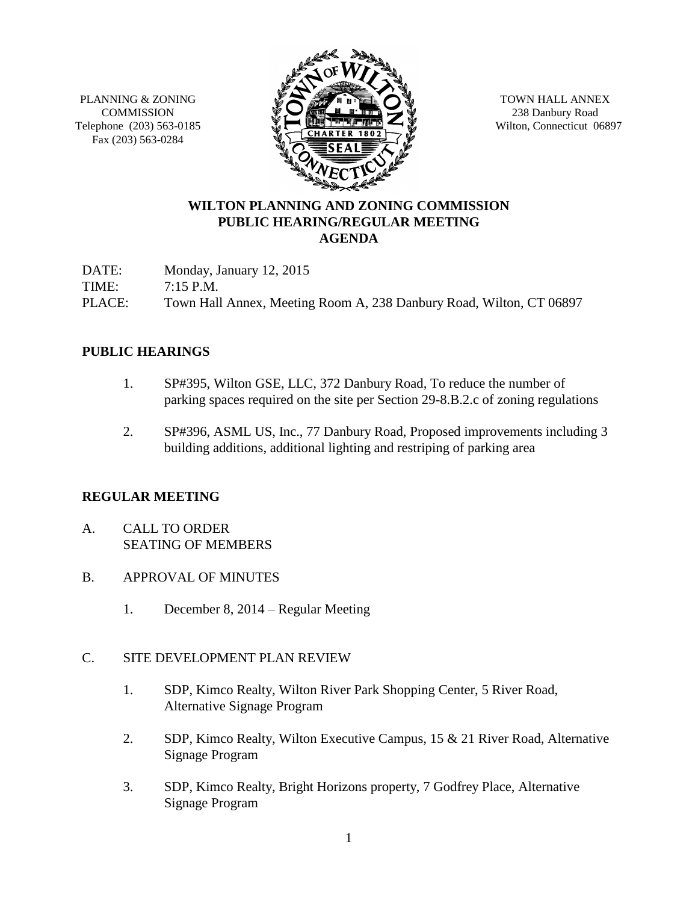PLANNING & ZONING **COMMISSION** Telephone (203) 563-0185 Fax (203) 563-0284



TOWN HALL ANNEX 238 Danbury Road Wilton, Connecticut 06897

# **WILTON PLANNING AND ZONING COMMISSION PUBLIC HEARING/REGULAR MEETING AGENDA**

DATE: Monday, January 12, 2015 TIME: 7:15 P.M. PLACE: Town Hall Annex, Meeting Room A, 238 Danbury Road, Wilton, CT 06897

### **PUBLIC HEARINGS**

- 1. SP#395, Wilton GSE, LLC, 372 Danbury Road, To reduce the number of parking spaces required on the site per Section 29-8.B.2.c of zoning regulations
- 2. SP#396, ASML US, Inc., 77 Danbury Road, Proposed improvements including 3 building additions, additional lighting and restriping of parking area

#### **REGULAR MEETING**

- A. CALL TO ORDER SEATING OF MEMBERS
- B. APPROVAL OF MINUTES
	- 1. December 8, 2014 Regular Meeting

# C. SITE DEVELOPMENT PLAN REVIEW

- 1. SDP, Kimco Realty, Wilton River Park Shopping Center, 5 River Road, Alternative Signage Program
- 2. SDP, Kimco Realty, Wilton Executive Campus, 15 & 21 River Road, Alternative Signage Program
- 3. SDP, Kimco Realty, Bright Horizons property, 7 Godfrey Place, Alternative Signage Program